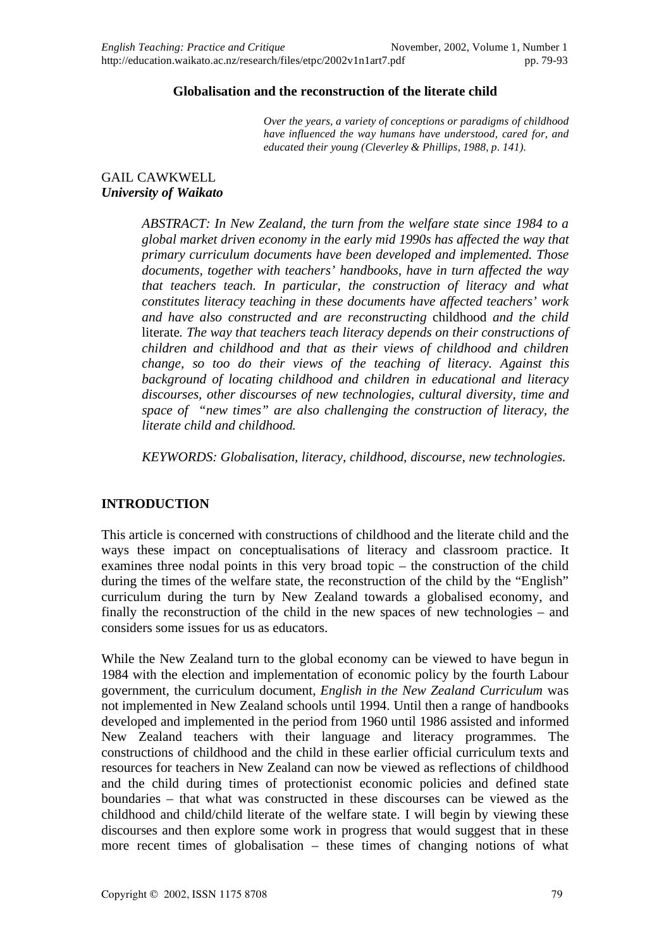#### **Globalisation and the reconstruction of the literate child**

*Over the years, a variety of conceptions or paradigms of childhood have influenced the way humans have understood, cared for, and educated their young (Cleverley & Phillips, 1988, p. 141).*

### GAIL CAWKWELL *University of Waikato*

*ABSTRACT: In New Zealand, the turn from the welfare state since 1984 to a global market driven economy in the early mid 1990s has affected the way that primary curriculum documents have been developed and implemented. Those documents, together with teachers' handbooks, have in turn affected the way that teachers teach. In particular, the construction of literacy and what constitutes literacy teaching in these documents have affected teachers' work and have also constructed and are reconstructing* childhood *and the child*  literate*. The way that teachers teach literacy depends on their constructions of children and childhood and that as their views of childhood and children change, so too do their views of the teaching of literacy. Against this background of locating childhood and children in educational and literacy discourses, other discourses of new technologies, cultural diversity, time and space of "new times" are also challenging the construction of literacy, the literate child and childhood.* 

*KEYWORDS: Globalisation, literacy, childhood, discourse, new technologies.*

### **INTRODUCTION**

This article is concerned with constructions of childhood and the literate child and the ways these impact on conceptualisations of literacy and classroom practice. It examines three nodal points in this very broad topic – the construction of the child during the times of the welfare state, the reconstruction of the child by the "English" curriculum during the turn by New Zealand towards a globalised economy, and finally the reconstruction of the child in the new spaces of new technologies – and considers some issues for us as educators.

While the New Zealand turn to the global economy can be viewed to have begun in 1984 with the election and implementation of economic policy by the fourth Labour government, the curriculum document, *English in the New Zealand Curriculum* was not implemented in New Zealand schools until 1994. Until then a range of handbooks developed and implemented in the period from 1960 until 1986 assisted and informed New Zealand teachers with their language and literacy programmes. The constructions of childhood and the child in these earlier official curriculum texts and resources for teachers in New Zealand can now be viewed as reflections of childhood and the child during times of protectionist economic policies and defined state boundaries – that what was constructed in these discourses can be viewed as the childhood and child/child literate of the welfare state. I will begin by viewing these discourses and then explore some work in progress that would suggest that in these more recent times of globalisation – these times of changing notions of what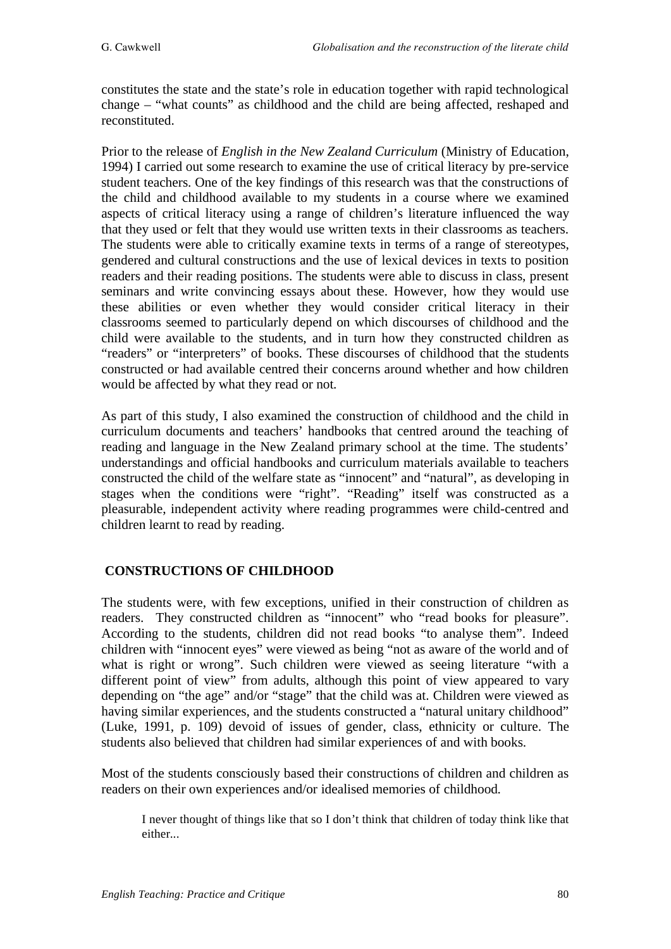constitutes the state and the state's role in education together with rapid technological change – "what counts" as childhood and the child are being affected, reshaped and reconstituted.

Prior to the release of *English in the New Zealand Curriculum* (Ministry of Education, 1994) I carried out some research to examine the use of critical literacy by pre-service student teachers. One of the key findings of this research was that the constructions of the child and childhood available to my students in a course where we examined aspects of critical literacy using a range of children's literature influenced the way that they used or felt that they would use written texts in their classrooms as teachers. The students were able to critically examine texts in terms of a range of stereotypes, gendered and cultural constructions and the use of lexical devices in texts to position readers and their reading positions. The students were able to discuss in class, present seminars and write convincing essays about these. However, how they would use these abilities or even whether they would consider critical literacy in their classrooms seemed to particularly depend on which discourses of childhood and the child were available to the students, and in turn how they constructed children as "readers" or "interpreters" of books. These discourses of childhood that the students constructed or had available centred their concerns around whether and how children would be affected by what they read or not.

As part of this study, I also examined the construction of childhood and the child in curriculum documents and teachers' handbooks that centred around the teaching of reading and language in the New Zealand primary school at the time. The students' understandings and official handbooks and curriculum materials available to teachers constructed the child of the welfare state as "innocent" and "natural", as developing in stages when the conditions were "right". "Reading" itself was constructed as a pleasurable, independent activity where reading programmes were child-centred and children learnt to read by reading.

# **CONSTRUCTIONS OF CHILDHOOD**

The students were, with few exceptions, unified in their construction of children as readers. They constructed children as "innocent" who "read books for pleasure". According to the students, children did not read books "to analyse them". Indeed children with "innocent eyes" were viewed as being "not as aware of the world and of what is right or wrong". Such children were viewed as seeing literature "with a different point of view" from adults, although this point of view appeared to vary depending on "the age" and/or "stage" that the child was at. Children were viewed as having similar experiences, and the students constructed a "natural unitary childhood" (Luke, 1991, p. 109) devoid of issues of gender, class, ethnicity or culture. The students also believed that children had similar experiences of and with books.

Most of the students consciously based their constructions of children and children as readers on their own experiences and/or idealised memories of childhood.

I never thought of things like that so I don't think that children of today think like that either...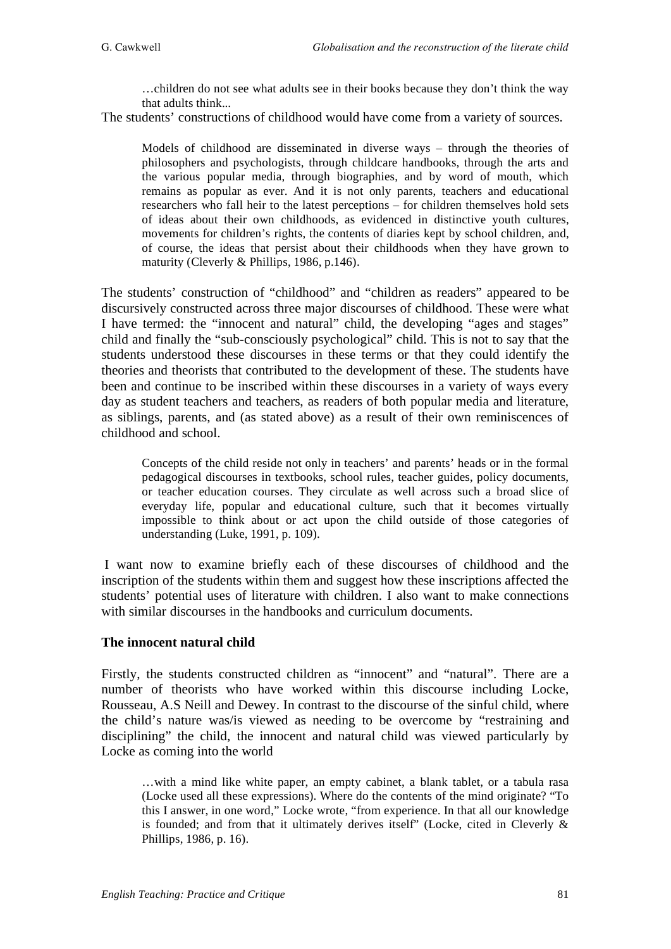…children do not see what adults see in their books because they don't think the way that adults think...

The students' constructions of childhood would have come from a variety of sources.

Models of childhood are disseminated in diverse ways – through the theories of philosophers and psychologists, through childcare handbooks, through the arts and the various popular media, through biographies, and by word of mouth, which remains as popular as ever. And it is not only parents, teachers and educational researchers who fall heir to the latest perceptions – for children themselves hold sets of ideas about their own childhoods, as evidenced in distinctive youth cultures, movements for children's rights, the contents of diaries kept by school children, and, of course, the ideas that persist about their childhoods when they have grown to maturity (Cleverly & Phillips, 1986, p.146).

The students' construction of "childhood" and "children as readers" appeared to be discursively constructed across three major discourses of childhood. These were what I have termed: the "innocent and natural" child, the developing "ages and stages" child and finally the "sub-consciously psychological" child. This is not to say that the students understood these discourses in these terms or that they could identify the theories and theorists that contributed to the development of these. The students have been and continue to be inscribed within these discourses in a variety of ways every day as student teachers and teachers, as readers of both popular media and literature, as siblings, parents, and (as stated above) as a result of their own reminiscences of childhood and school.

Concepts of the child reside not only in teachers' and parents' heads or in the formal pedagogical discourses in textbooks, school rules, teacher guides, policy documents, or teacher education courses. They circulate as well across such a broad slice of everyday life, popular and educational culture, such that it becomes virtually impossible to think about or act upon the child outside of those categories of understanding (Luke, 1991, p. 109).

 I want now to examine briefly each of these discourses of childhood and the inscription of the students within them and suggest how these inscriptions affected the students' potential uses of literature with children. I also want to make connections with similar discourses in the handbooks and curriculum documents.

### **The innocent natural child**

Firstly, the students constructed children as "innocent" and "natural". There are a number of theorists who have worked within this discourse including Locke, Rousseau, A.S Neill and Dewey. In contrast to the discourse of the sinful child, where the child's nature was/is viewed as needing to be overcome by "restraining and disciplining" the child, the innocent and natural child was viewed particularly by Locke as coming into the world

…with a mind like white paper, an empty cabinet, a blank tablet, or a tabula rasa (Locke used all these expressions). Where do the contents of the mind originate? "To this I answer, in one word," Locke wrote, "from experience. In that all our knowledge is founded; and from that it ultimately derives itself" (Locke, cited in Cleverly  $\&$ Phillips, 1986, p. 16).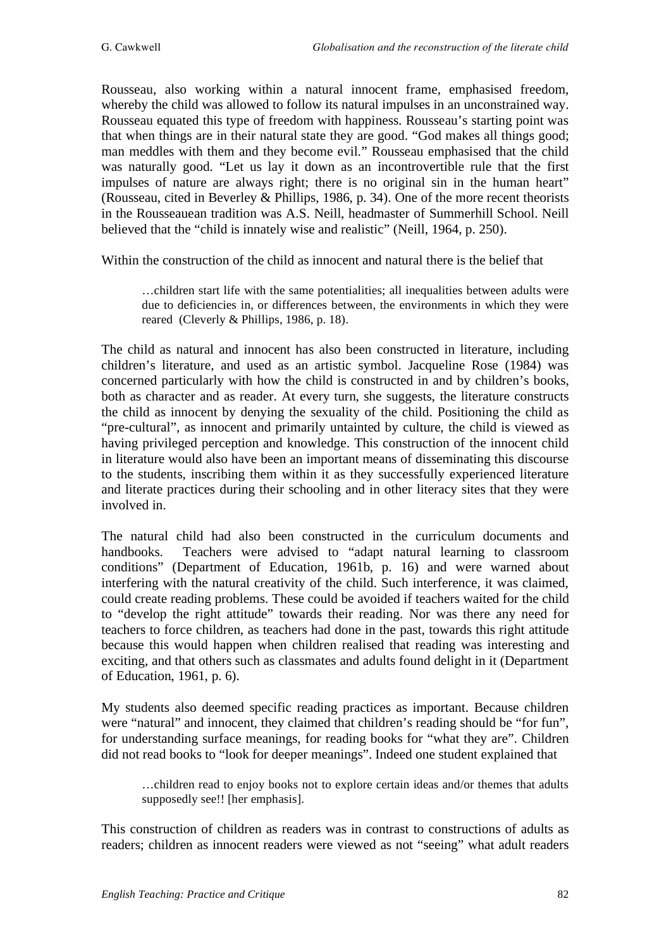Rousseau, also working within a natural innocent frame, emphasised freedom, whereby the child was allowed to follow its natural impulses in an unconstrained way. Rousseau equated this type of freedom with happiness. Rousseau's starting point was that when things are in their natural state they are good. "God makes all things good; man meddles with them and they become evil." Rousseau emphasised that the child was naturally good. "Let us lay it down as an incontrovertible rule that the first impulses of nature are always right; there is no original sin in the human heart" (Rousseau, cited in Beverley & Phillips, 1986, p. 34). One of the more recent theorists in the Rousseauean tradition was A.S. Neill, headmaster of Summerhill School. Neill believed that the "child is innately wise and realistic" (Neill, 1964, p. 250).

Within the construction of the child as innocent and natural there is the belief that

…children start life with the same potentialities; all inequalities between adults were due to deficiencies in, or differences between, the environments in which they were reared (Cleverly & Phillips, 1986, p. 18).

The child as natural and innocent has also been constructed in literature, including children's literature, and used as an artistic symbol. Jacqueline Rose (1984) was concerned particularly with how the child is constructed in and by children's books, both as character and as reader. At every turn, she suggests, the literature constructs the child as innocent by denying the sexuality of the child. Positioning the child as "pre-cultural", as innocent and primarily untainted by culture, the child is viewed as having privileged perception and knowledge. This construction of the innocent child in literature would also have been an important means of disseminating this discourse to the students, inscribing them within it as they successfully experienced literature and literate practices during their schooling and in other literacy sites that they were involved in.

The natural child had also been constructed in the curriculum documents and handbooks. Teachers were advised to "adapt natural learning to classroom conditions" (Department of Education, 1961b, p. 16) and were warned about interfering with the natural creativity of the child. Such interference, it was claimed, could create reading problems. These could be avoided if teachers waited for the child to "develop the right attitude" towards their reading. Nor was there any need for teachers to force children, as teachers had done in the past, towards this right attitude because this would happen when children realised that reading was interesting and exciting, and that others such as classmates and adults found delight in it (Department of Education, 1961, p. 6).

My students also deemed specific reading practices as important. Because children were "natural" and innocent, they claimed that children's reading should be "for fun", for understanding surface meanings, for reading books for "what they are". Children did not read books to "look for deeper meanings". Indeed one student explained that

…children read to enjoy books not to explore certain ideas and/or themes that adults supposedly see!! [her emphasis].

This construction of children as readers was in contrast to constructions of adults as readers; children as innocent readers were viewed as not "seeing" what adult readers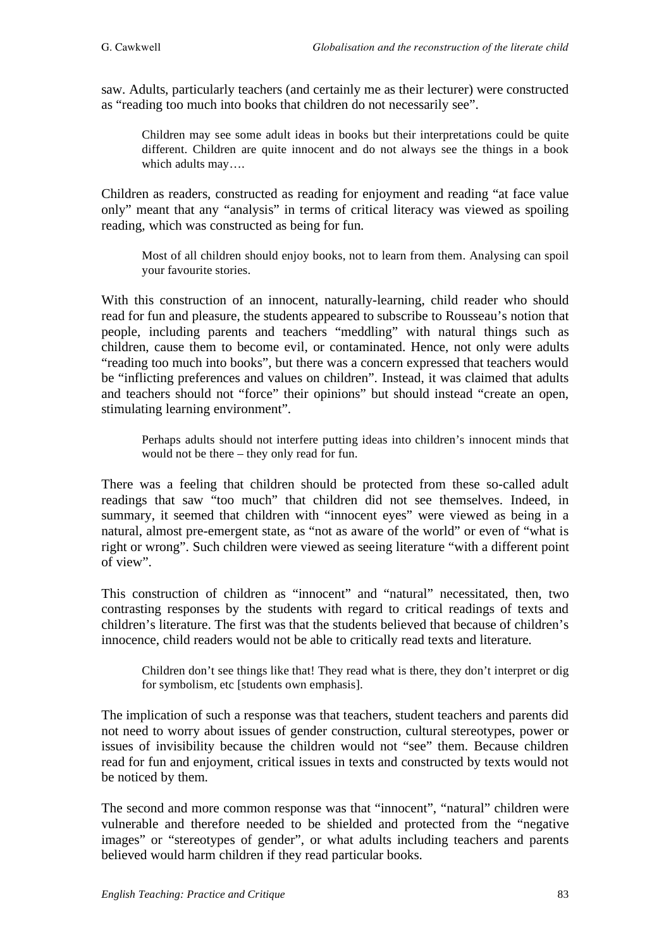saw. Adults, particularly teachers (and certainly me as their lecturer) were constructed as "reading too much into books that children do not necessarily see".

Children may see some adult ideas in books but their interpretations could be quite different. Children are quite innocent and do not always see the things in a book which adults may….

Children as readers, constructed as reading for enjoyment and reading "at face value only" meant that any "analysis" in terms of critical literacy was viewed as spoiling reading, which was constructed as being for fun.

Most of all children should enjoy books, not to learn from them. Analysing can spoil your favourite stories.

With this construction of an innocent, naturally-learning, child reader who should read for fun and pleasure, the students appeared to subscribe to Rousseau's notion that people, including parents and teachers "meddling" with natural things such as children, cause them to become evil, or contaminated. Hence, not only were adults "reading too much into books", but there was a concern expressed that teachers would be "inflicting preferences and values on children". Instead, it was claimed that adults and teachers should not "force" their opinions" but should instead "create an open, stimulating learning environment".

Perhaps adults should not interfere putting ideas into children's innocent minds that would not be there – they only read for fun.

There was a feeling that children should be protected from these so-called adult readings that saw "too much" that children did not see themselves. Indeed, in summary, it seemed that children with "innocent eyes" were viewed as being in a natural, almost pre-emergent state, as "not as aware of the world" or even of "what is right or wrong". Such children were viewed as seeing literature "with a different point of view".

This construction of children as "innocent" and "natural" necessitated, then, two contrasting responses by the students with regard to critical readings of texts and children's literature. The first was that the students believed that because of children's innocence, child readers would not be able to critically read texts and literature.

Children don't see things like that! They read what is there, they don't interpret or dig for symbolism, etc [students own emphasis].

The implication of such a response was that teachers, student teachers and parents did not need to worry about issues of gender construction, cultural stereotypes, power or issues of invisibility because the children would not "see" them. Because children read for fun and enjoyment, critical issues in texts and constructed by texts would not be noticed by them.

The second and more common response was that "innocent", "natural" children were vulnerable and therefore needed to be shielded and protected from the "negative images" or "stereotypes of gender", or what adults including teachers and parents believed would harm children if they read particular books.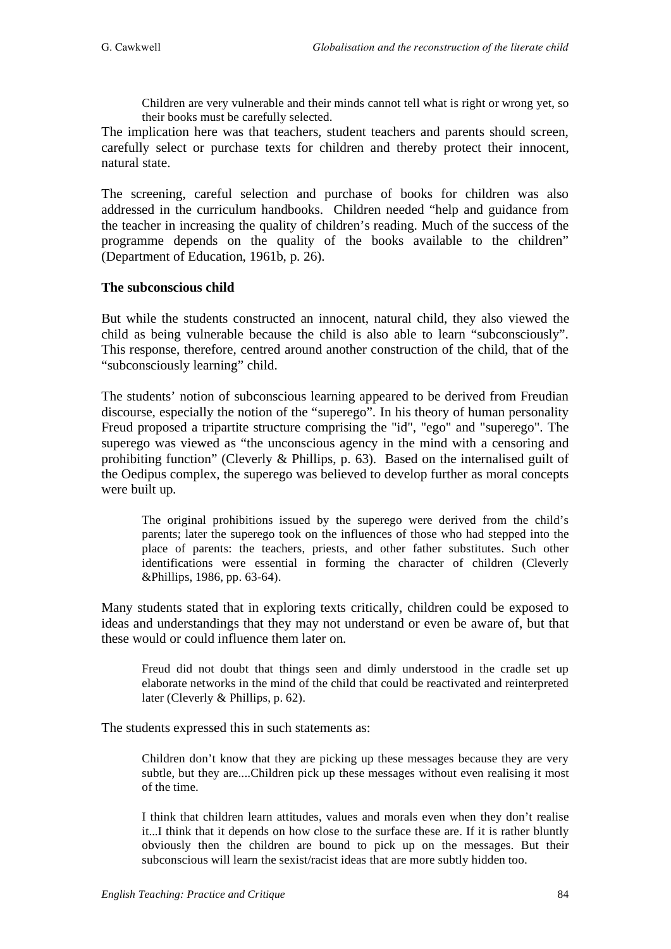Children are very vulnerable and their minds cannot tell what is right or wrong yet, so their books must be carefully selected.

The implication here was that teachers, student teachers and parents should screen, carefully select or purchase texts for children and thereby protect their innocent, natural state.

The screening, careful selection and purchase of books for children was also addressed in the curriculum handbooks. Children needed "help and guidance from the teacher in increasing the quality of children's reading. Much of the success of the programme depends on the quality of the books available to the children" (Department of Education, 1961b, p. 26).

### **The subconscious child**

But while the students constructed an innocent, natural child, they also viewed the child as being vulnerable because the child is also able to learn "subconsciously". This response, therefore, centred around another construction of the child, that of the "subconsciously learning" child.

The students' notion of subconscious learning appeared to be derived from Freudian discourse, especially the notion of the "superego". In his theory of human personality Freud proposed a tripartite structure comprising the "id", "ego" and "superego". The superego was viewed as "the unconscious agency in the mind with a censoring and prohibiting function" (Cleverly & Phillips, p. 63). Based on the internalised guilt of the Oedipus complex, the superego was believed to develop further as moral concepts were built up.

The original prohibitions issued by the superego were derived from the child's parents; later the superego took on the influences of those who had stepped into the place of parents: the teachers, priests, and other father substitutes. Such other identifications were essential in forming the character of children (Cleverly &Phillips, 1986, pp. 63-64).

Many students stated that in exploring texts critically, children could be exposed to ideas and understandings that they may not understand or even be aware of, but that these would or could influence them later on.

Freud did not doubt that things seen and dimly understood in the cradle set up elaborate networks in the mind of the child that could be reactivated and reinterpreted later (Cleverly & Phillips, p. 62).

The students expressed this in such statements as:

Children don't know that they are picking up these messages because they are very subtle, but they are....Children pick up these messages without even realising it most of the time.

I think that children learn attitudes, values and morals even when they don't realise it...I think that it depends on how close to the surface these are. If it is rather bluntly obviously then the children are bound to pick up on the messages. But their subconscious will learn the sexist/racist ideas that are more subtly hidden too.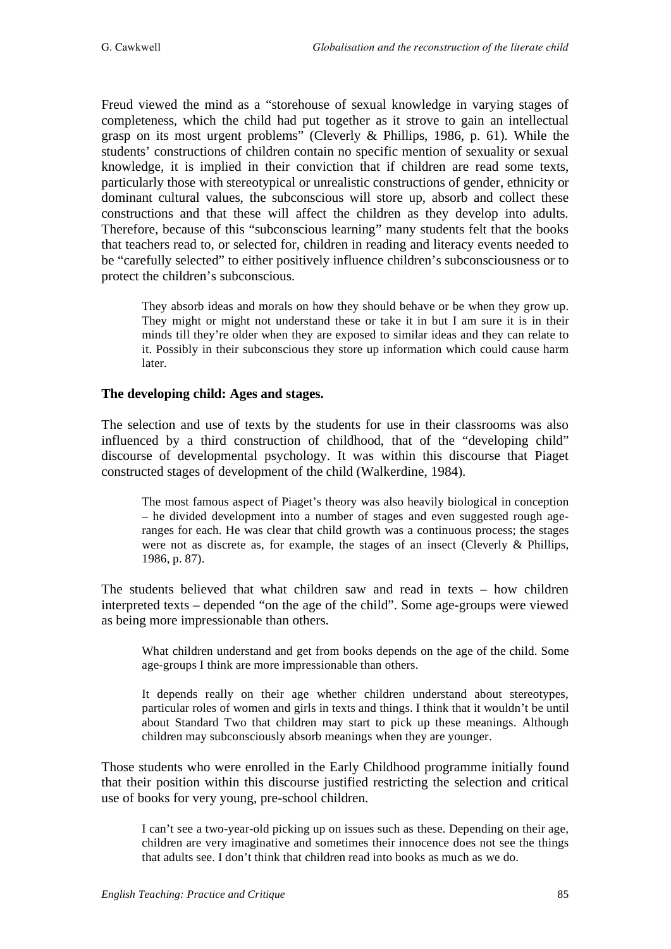Freud viewed the mind as a "storehouse of sexual knowledge in varying stages of completeness, which the child had put together as it strove to gain an intellectual grasp on its most urgent problems" (Cleverly & Phillips, 1986, p. 61). While the students' constructions of children contain no specific mention of sexuality or sexual knowledge, it is implied in their conviction that if children are read some texts, particularly those with stereotypical or unrealistic constructions of gender, ethnicity or dominant cultural values, the subconscious will store up, absorb and collect these constructions and that these will affect the children as they develop into adults. Therefore, because of this "subconscious learning" many students felt that the books that teachers read to, or selected for, children in reading and literacy events needed to be "carefully selected" to either positively influence children's subconsciousness or to protect the children's subconscious.

They absorb ideas and morals on how they should behave or be when they grow up. They might or might not understand these or take it in but I am sure it is in their minds till they're older when they are exposed to similar ideas and they can relate to it. Possibly in their subconscious they store up information which could cause harm later.

#### **The developing child: Ages and stages.**

The selection and use of texts by the students for use in their classrooms was also influenced by a third construction of childhood, that of the "developing child" discourse of developmental psychology. It was within this discourse that Piaget constructed stages of development of the child (Walkerdine, 1984).

The most famous aspect of Piaget's theory was also heavily biological in conception – he divided development into a number of stages and even suggested rough ageranges for each. He was clear that child growth was a continuous process; the stages were not as discrete as, for example, the stages of an insect (Cleverly & Phillips, 1986, p. 87).

The students believed that what children saw and read in texts – how children interpreted texts – depended "on the age of the child". Some age-groups were viewed as being more impressionable than others.

What children understand and get from books depends on the age of the child. Some age-groups I think are more impressionable than others.

It depends really on their age whether children understand about stereotypes, particular roles of women and girls in texts and things. I think that it wouldn't be until about Standard Two that children may start to pick up these meanings. Although children may subconsciously absorb meanings when they are younger.

Those students who were enrolled in the Early Childhood programme initially found that their position within this discourse justified restricting the selection and critical use of books for very young, pre-school children.

I can't see a two-year-old picking up on issues such as these. Depending on their age, children are very imaginative and sometimes their innocence does not see the things that adults see. I don't think that children read into books as much as we do.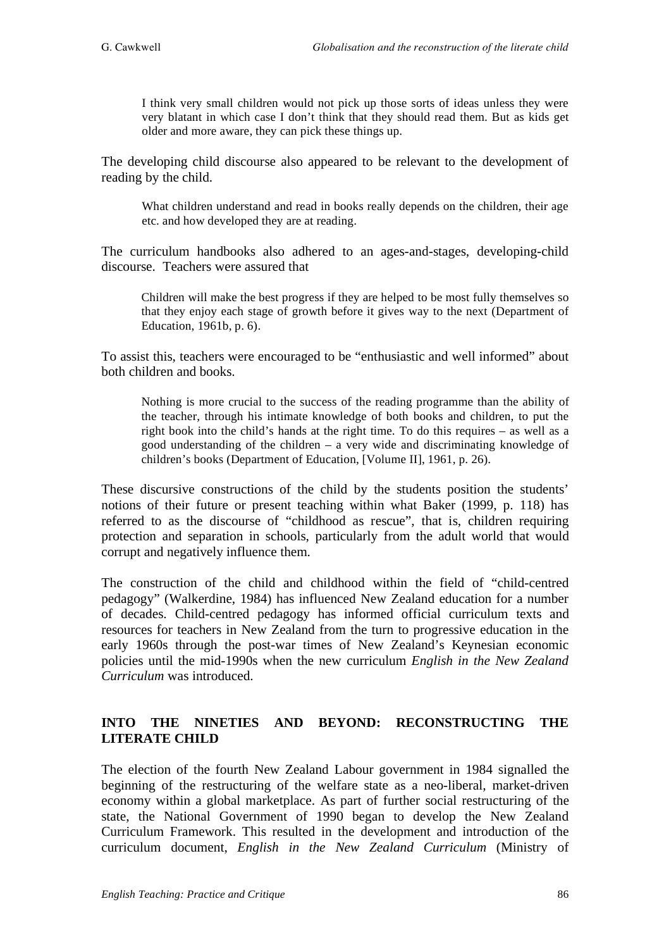I think very small children would not pick up those sorts of ideas unless they were very blatant in which case I don't think that they should read them. But as kids get older and more aware, they can pick these things up.

The developing child discourse also appeared to be relevant to the development of reading by the child.

What children understand and read in books really depends on the children, their age etc. and how developed they are at reading.

The curriculum handbooks also adhered to an ages-and-stages, developing-child discourse. Teachers were assured that

Children will make the best progress if they are helped to be most fully themselves so that they enjoy each stage of growth before it gives way to the next (Department of Education, 1961b, p. 6).

To assist this, teachers were encouraged to be "enthusiastic and well informed" about both children and books.

Nothing is more crucial to the success of the reading programme than the ability of the teacher, through his intimate knowledge of both books and children, to put the right book into the child's hands at the right time. To do this requires – as well as a good understanding of the children – a very wide and discriminating knowledge of children's books (Department of Education, [Volume II], 1961, p. 26).

These discursive constructions of the child by the students position the students' notions of their future or present teaching within what Baker (1999, p. 118) has referred to as the discourse of "childhood as rescue", that is, children requiring protection and separation in schools, particularly from the adult world that would corrupt and negatively influence them.

The construction of the child and childhood within the field of "child-centred pedagogy" (Walkerdine, 1984) has influenced New Zealand education for a number of decades. Child-centred pedagogy has informed official curriculum texts and resources for teachers in New Zealand from the turn to progressive education in the early 1960s through the post-war times of New Zealand's Keynesian economic policies until the mid-1990s when the new curriculum *English in the New Zealand Curriculum* was introduced.

## **INTO THE NINETIES AND BEYOND: RECONSTRUCTING THE LITERATE CHILD**

The election of the fourth New Zealand Labour government in 1984 signalled the beginning of the restructuring of the welfare state as a neo-liberal, market-driven economy within a global marketplace. As part of further social restructuring of the state, the National Government of 1990 began to develop the New Zealand Curriculum Framework. This resulted in the development and introduction of the curriculum document, *English in the New Zealand Curriculum* (Ministry of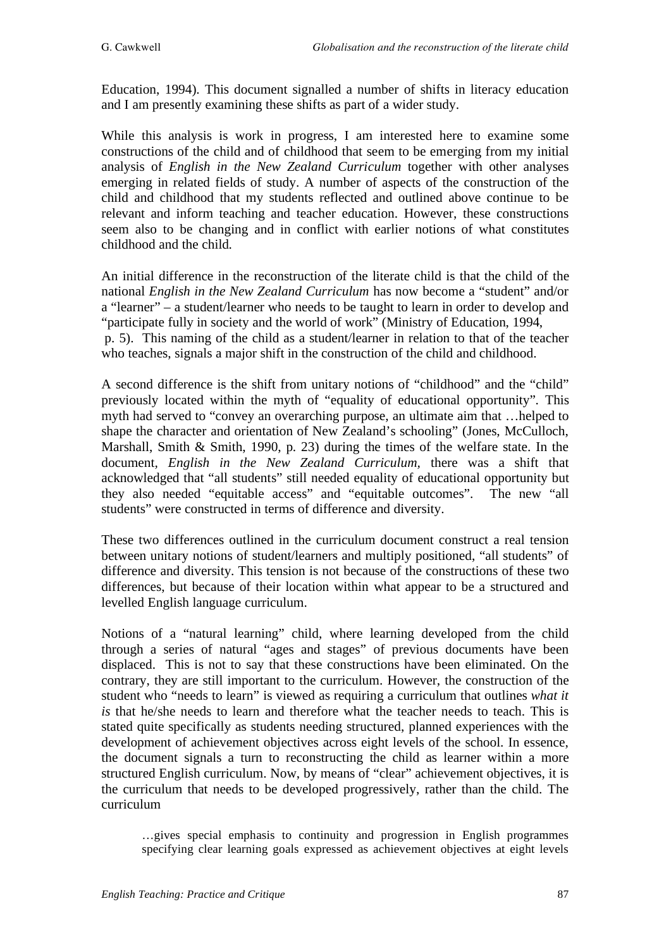Education, 1994). This document signalled a number of shifts in literacy education and I am presently examining these shifts as part of a wider study.

While this analysis is work in progress, I am interested here to examine some constructions of the child and of childhood that seem to be emerging from my initial analysis of *English in the New Zealand Curriculum* together with other analyses emerging in related fields of study. A number of aspects of the construction of the child and childhood that my students reflected and outlined above continue to be relevant and inform teaching and teacher education. However, these constructions seem also to be changing and in conflict with earlier notions of what constitutes childhood and the child.

An initial difference in the reconstruction of the literate child is that the child of the national *English in the New Zealand Curriculum* has now become a "student" and/or a "learner" – a student/learner who needs to be taught to learn in order to develop and "participate fully in society and the world of work" (Ministry of Education, 1994, p. 5). This naming of the child as a student/learner in relation to that of the teacher who teaches, signals a major shift in the construction of the child and childhood.

A second difference is the shift from unitary notions of "childhood" and the "child" previously located within the myth of "equality of educational opportunity". This myth had served to "convey an overarching purpose, an ultimate aim that …helped to shape the character and orientation of New Zealand's schooling" (Jones, McCulloch, Marshall, Smith & Smith, 1990, p. 23) during the times of the welfare state. In the document*, English in the New Zealand Curriculum,* there was a shift that acknowledged that "all students" still needed equality of educational opportunity but they also needed "equitable access" and "equitable outcomes". The new "all students" were constructed in terms of difference and diversity.

These two differences outlined in the curriculum document construct a real tension between unitary notions of student/learners and multiply positioned, "all students" of difference and diversity. This tension is not because of the constructions of these two differences, but because of their location within what appear to be a structured and levelled English language curriculum.

Notions of a "natural learning" child, where learning developed from the child through a series of natural "ages and stages" of previous documents have been displaced. This is not to say that these constructions have been eliminated. On the contrary, they are still important to the curriculum. However, the construction of the student who "needs to learn" is viewed as requiring a curriculum that outlines *what it is* that he/she needs to learn and therefore what the teacher needs to teach. This is stated quite specifically as students needing structured, planned experiences with the development of achievement objectives across eight levels of the school. In essence, the document signals a turn to reconstructing the child as learner within a more structured English curriculum. Now, by means of "clear" achievement objectives, it is the curriculum that needs to be developed progressively, rather than the child. The curriculum

…gives special emphasis to continuity and progression in English programmes specifying clear learning goals expressed as achievement objectives at eight levels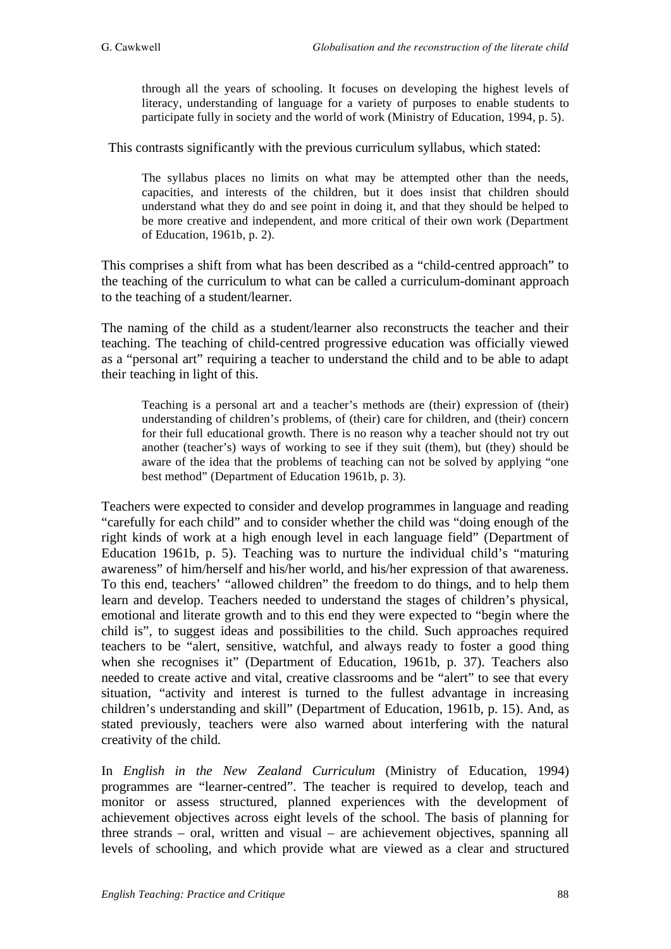through all the years of schooling. It focuses on developing the highest levels of literacy, understanding of language for a variety of purposes to enable students to participate fully in society and the world of work (Ministry of Education, 1994, p. 5).

This contrasts significantly with the previous curriculum syllabus, which stated:

The syllabus places no limits on what may be attempted other than the needs, capacities, and interests of the children, but it does insist that children should understand what they do and see point in doing it, and that they should be helped to be more creative and independent, and more critical of their own work (Department of Education, 1961b, p. 2).

This comprises a shift from what has been described as a "child-centred approach" to the teaching of the curriculum to what can be called a curriculum-dominant approach to the teaching of a student/learner.

The naming of the child as a student/learner also reconstructs the teacher and their teaching. The teaching of child-centred progressive education was officially viewed as a "personal art" requiring a teacher to understand the child and to be able to adapt their teaching in light of this.

Teaching is a personal art and a teacher's methods are (their) expression of (their) understanding of children's problems, of (their) care for children, and (their) concern for their full educational growth. There is no reason why a teacher should not try out another (teacher's) ways of working to see if they suit (them), but (they) should be aware of the idea that the problems of teaching can not be solved by applying "one best method" (Department of Education 1961b, p. 3).

Teachers were expected to consider and develop programmes in language and reading "carefully for each child" and to consider whether the child was "doing enough of the right kinds of work at a high enough level in each language field" (Department of Education 1961b, p. 5). Teaching was to nurture the individual child's "maturing awareness" of him/herself and his/her world, and his/her expression of that awareness. To this end, teachers' "allowed children" the freedom to do things, and to help them learn and develop. Teachers needed to understand the stages of children's physical, emotional and literate growth and to this end they were expected to "begin where the child is", to suggest ideas and possibilities to the child. Such approaches required teachers to be "alert, sensitive, watchful, and always ready to foster a good thing when she recognises it" (Department of Education, 1961b, p. 37). Teachers also needed to create active and vital, creative classrooms and be "alert" to see that every situation, "activity and interest is turned to the fullest advantage in increasing children's understanding and skill" (Department of Education, 1961b, p. 15). And, as stated previously, teachers were also warned about interfering with the natural creativity of the child.

In *English in the New Zealand Curriculum* (Ministry of Education, 1994) programmes are "learner-centred". The teacher is required to develop, teach and monitor or assess structured, planned experiences with the development of achievement objectives across eight levels of the school. The basis of planning for three strands – oral, written and visual – are achievement objectives, spanning all levels of schooling, and which provide what are viewed as a clear and structured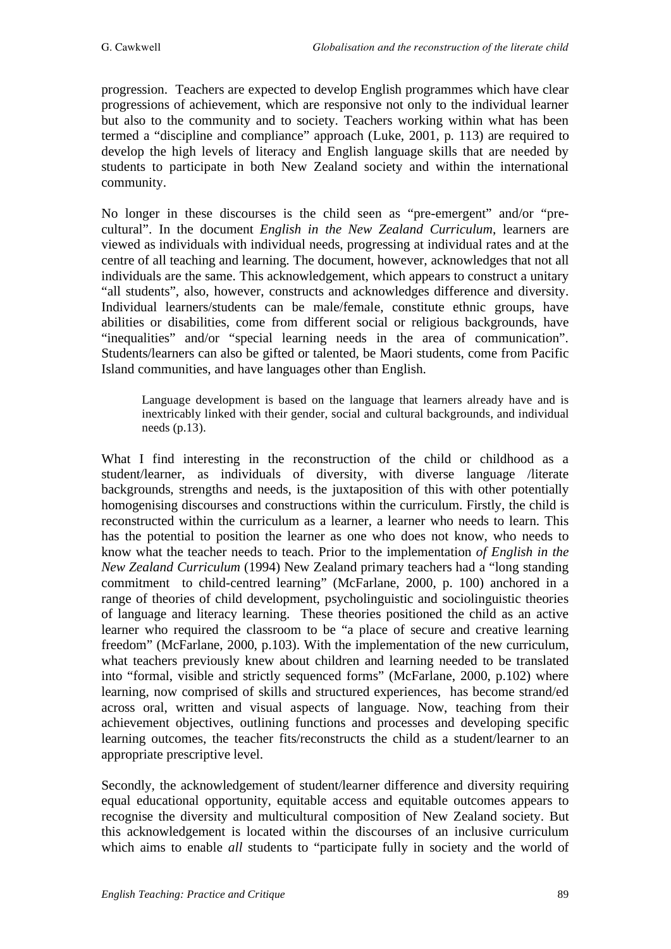progression. Teachers are expected to develop English programmes which have clear progressions of achievement, which are responsive not only to the individual learner but also to the community and to society. Teachers working within what has been termed a "discipline and compliance" approach (Luke, 2001, p. 113) are required to develop the high levels of literacy and English language skills that are needed by students to participate in both New Zealand society and within the international community.

No longer in these discourses is the child seen as "pre-emergent" and/or "precultural". In the document *English in the New Zealand Curriculum*, learners are viewed as individuals with individual needs, progressing at individual rates and at the centre of all teaching and learning. The document, however, acknowledges that not all individuals are the same. This acknowledgement, which appears to construct a unitary "all students", also, however, constructs and acknowledges difference and diversity. Individual learners/students can be male/female, constitute ethnic groups, have abilities or disabilities, come from different social or religious backgrounds, have "inequalities" and/or "special learning needs in the area of communication". Students/learners can also be gifted or talented, be Maori students, come from Pacific Island communities, and have languages other than English.

Language development is based on the language that learners already have and is inextricably linked with their gender, social and cultural backgrounds, and individual needs (p.13).

What I find interesting in the reconstruction of the child or childhood as a student/learner, as individuals of diversity, with diverse language /literate backgrounds, strengths and needs, is the juxtaposition of this with other potentially homogenising discourses and constructions within the curriculum. Firstly, the child is reconstructed within the curriculum as a learner, a learner who needs to learn. This has the potential to position the learner as one who does not know, who needs to know what the teacher needs to teach. Prior to the implementation *of English in the New Zealand Curriculum* (1994) New Zealand primary teachers had a "long standing commitment to child-centred learning" (McFarlane, 2000, p. 100) anchored in a range of theories of child development, psycholinguistic and sociolinguistic theories of language and literacy learning. These theories positioned the child as an active learner who required the classroom to be "a place of secure and creative learning freedom" (McFarlane, 2000, p.103). With the implementation of the new curriculum, what teachers previously knew about children and learning needed to be translated into "formal, visible and strictly sequenced forms" (McFarlane, 2000, p.102) where learning, now comprised of skills and structured experiences, has become strand/ed across oral, written and visual aspects of language. Now, teaching from their achievement objectives, outlining functions and processes and developing specific learning outcomes, the teacher fits/reconstructs the child as a student/learner to an appropriate prescriptive level.

Secondly, the acknowledgement of student/learner difference and diversity requiring equal educational opportunity, equitable access and equitable outcomes appears to recognise the diversity and multicultural composition of New Zealand society. But this acknowledgement is located within the discourses of an inclusive curriculum which aims to enable *all* students to "participate fully in society and the world of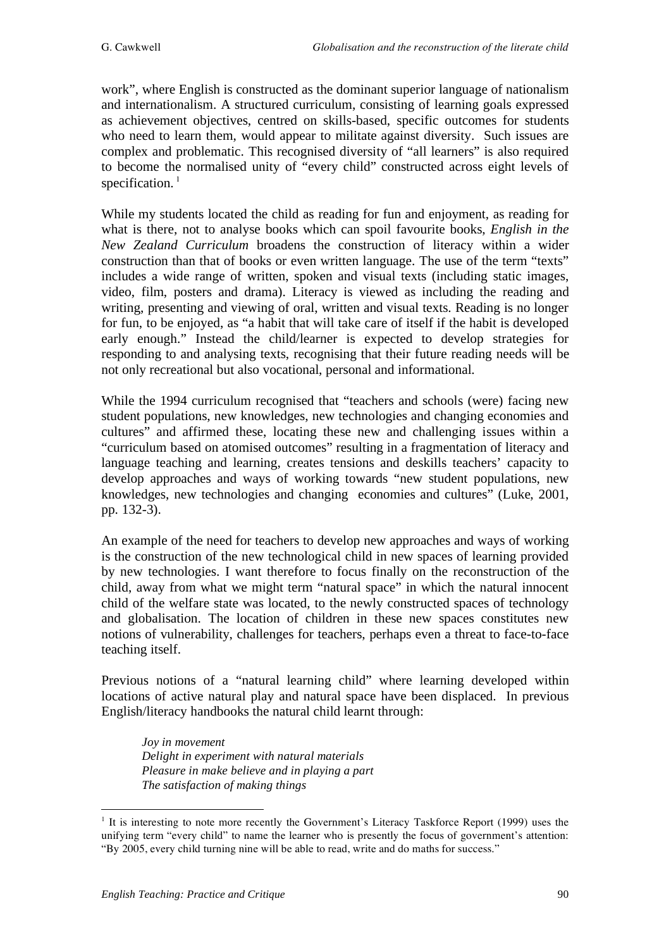work", where English is constructed as the dominant superior language of nationalism and internationalism. A structured curriculum, consisting of learning goals expressed as achievement objectives, centred on skills-based, specific outcomes for students who need to learn them, would appear to militate against diversity. Such issues are complex and problematic. This recognised diversity of "all learners" is also required to become the normalised unity of "every child" constructed across eight levels of specification.<sup>1</sup>

While my students located the child as reading for fun and enjoyment, as reading for what is there, not to analyse books which can spoil favourite books, *English in the New Zealand Curriculum* broadens the construction of literacy within a wider construction than that of books or even written language. The use of the term "texts" includes a wide range of written, spoken and visual texts (including static images, video, film, posters and drama). Literacy is viewed as including the reading and writing, presenting and viewing of oral, written and visual texts. Reading is no longer for fun, to be enjoyed, as "a habit that will take care of itself if the habit is developed early enough." Instead the child/learner is expected to develop strategies for responding to and analysing texts, recognising that their future reading needs will be not only recreational but also vocational, personal and informational.

While the 1994 curriculum recognised that "teachers and schools (were) facing new student populations, new knowledges, new technologies and changing economies and cultures" and affirmed these, locating these new and challenging issues within a "curriculum based on atomised outcomes" resulting in a fragmentation of literacy and language teaching and learning, creates tensions and deskills teachers' capacity to develop approaches and ways of working towards "new student populations, new knowledges, new technologies and changing economies and cultures" (Luke, 2001, pp. 132-3).

An example of the need for teachers to develop new approaches and ways of working is the construction of the new technological child in new spaces of learning provided by new technologies. I want therefore to focus finally on the reconstruction of the child, away from what we might term "natural space" in which the natural innocent child of the welfare state was located, to the newly constructed spaces of technology and globalisation. The location of children in these new spaces constitutes new notions of vulnerability, challenges for teachers, perhaps even a threat to face-to-face teaching itself.

Previous notions of a "natural learning child" where learning developed within locations of active natural play and natural space have been displaced. In previous English/literacy handbooks the natural child learnt through:

*Joy in movement Delight in experiment with natural materials Pleasure in make believe and in playing a part The satisfaction of making things* 

<sup>&</sup>lt;sup>1</sup> It is interesting to note more recently the Government's Literacy Taskforce Report (1999) uses the unifying term "every child" to name the learner who is presently the focus of government's attention: "By 2005, every child turning nine will be able to read, write and do maths for success."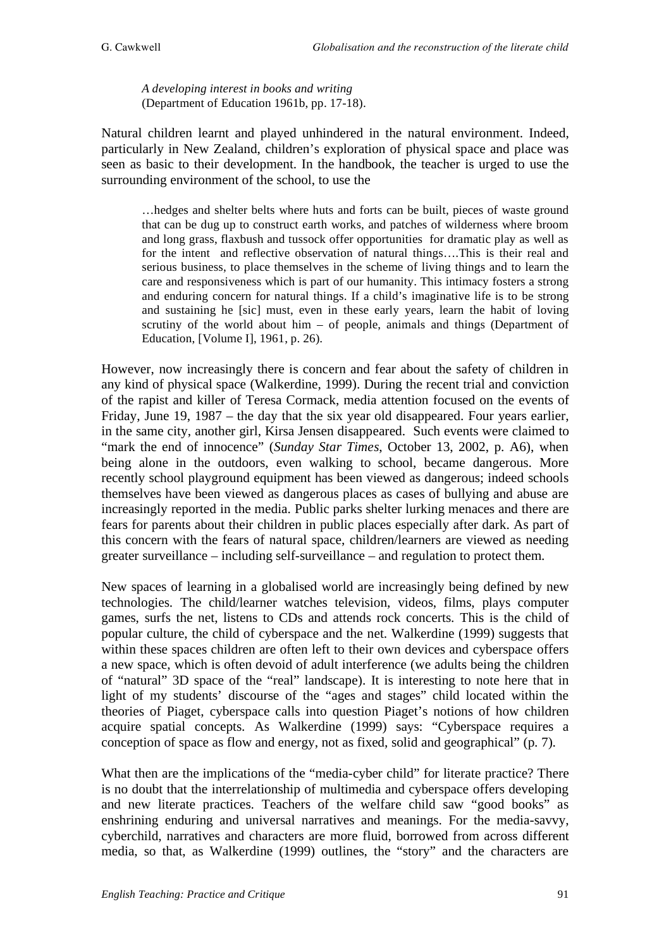*A developing interest in books and writing* (Department of Education 1961b, pp. 17-18).

Natural children learnt and played unhindered in the natural environment. Indeed, particularly in New Zealand, children's exploration of physical space and place was seen as basic to their development. In the handbook, the teacher is urged to use the surrounding environment of the school, to use the

…hedges and shelter belts where huts and forts can be built, pieces of waste ground that can be dug up to construct earth works, and patches of wilderness where broom and long grass, flaxbush and tussock offer opportunities for dramatic play as well as for the intent and reflective observation of natural things….This is their real and serious business, to place themselves in the scheme of living things and to learn the care and responsiveness which is part of our humanity. This intimacy fosters a strong and enduring concern for natural things. If a child's imaginative life is to be strong and sustaining he [sic] must, even in these early years, learn the habit of loving scrutiny of the world about him – of people, animals and things (Department of Education, [Volume I], 1961, p. 26).

However, now increasingly there is concern and fear about the safety of children in any kind of physical space (Walkerdine, 1999). During the recent trial and conviction of the rapist and killer of Teresa Cormack, media attention focused on the events of Friday, June 19, 1987 – the day that the six year old disappeared. Four years earlier, in the same city, another girl, Kirsa Jensen disappeared. Such events were claimed to "mark the end of innocence" (*Sunday Star Times*, October 13, 2002, p. A6), when being alone in the outdoors, even walking to school, became dangerous. More recently school playground equipment has been viewed as dangerous; indeed schools themselves have been viewed as dangerous places as cases of bullying and abuse are increasingly reported in the media. Public parks shelter lurking menaces and there are fears for parents about their children in public places especially after dark. As part of this concern with the fears of natural space, children/learners are viewed as needing greater surveillance – including self-surveillance – and regulation to protect them.

New spaces of learning in a globalised world are increasingly being defined by new technologies. The child/learner watches television, videos, films, plays computer games, surfs the net, listens to CDs and attends rock concerts. This is the child of popular culture, the child of cyberspace and the net. Walkerdine (1999) suggests that within these spaces children are often left to their own devices and cyberspace offers a new space, which is often devoid of adult interference (we adults being the children of "natural" 3D space of the "real" landscape). It is interesting to note here that in light of my students' discourse of the "ages and stages" child located within the theories of Piaget, cyberspace calls into question Piaget's notions of how children acquire spatial concepts. As Walkerdine (1999) says: "Cyberspace requires a conception of space as flow and energy, not as fixed, solid and geographical" (p. 7).

What then are the implications of the "media-cyber child" for literate practice? There is no doubt that the interrelationship of multimedia and cyberspace offers developing and new literate practices. Teachers of the welfare child saw "good books" as enshrining enduring and universal narratives and meanings. For the media-savvy, cyberchild, narratives and characters are more fluid, borrowed from across different media, so that, as Walkerdine (1999) outlines, the "story" and the characters are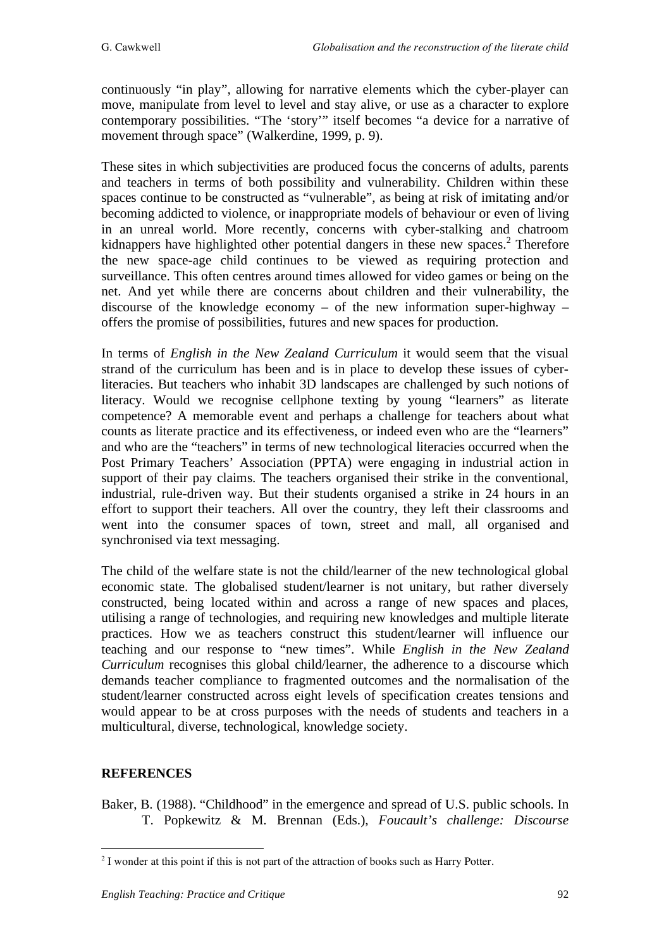continuously "in play", allowing for narrative elements which the cyber-player can move, manipulate from level to level and stay alive, or use as a character to explore contemporary possibilities. "The 'story'" itself becomes "a device for a narrative of movement through space" (Walkerdine, 1999, p. 9).

These sites in which subjectivities are produced focus the concerns of adults, parents and teachers in terms of both possibility and vulnerability. Children within these spaces continue to be constructed as "vulnerable", as being at risk of imitating and/or becoming addicted to violence, or inappropriate models of behaviour or even of living in an unreal world. More recently, concerns with cyber-stalking and chatroom kidnappers have highlighted other potential dangers in these new spaces.<sup>2</sup> Therefore the new space-age child continues to be viewed as requiring protection and surveillance. This often centres around times allowed for video games or being on the net. And yet while there are concerns about children and their vulnerability, the discourse of the knowledge economy – of the new information super-highway – offers the promise of possibilities, futures and new spaces for production.

In terms of *English in the New Zealand Curriculum* it would seem that the visual strand of the curriculum has been and is in place to develop these issues of cyberliteracies. But teachers who inhabit 3D landscapes are challenged by such notions of literacy. Would we recognise cellphone texting by young "learners" as literate competence? A memorable event and perhaps a challenge for teachers about what counts as literate practice and its effectiveness, or indeed even who are the "learners" and who are the "teachers" in terms of new technological literacies occurred when the Post Primary Teachers' Association (PPTA) were engaging in industrial action in support of their pay claims. The teachers organised their strike in the conventional, industrial, rule-driven way. But their students organised a strike in 24 hours in an effort to support their teachers. All over the country, they left their classrooms and went into the consumer spaces of town, street and mall, all organised and synchronised via text messaging.

The child of the welfare state is not the child/learner of the new technological global economic state. The globalised student/learner is not unitary, but rather diversely constructed, being located within and across a range of new spaces and places, utilising a range of technologies, and requiring new knowledges and multiple literate practices. How we as teachers construct this student/learner will influence our teaching and our response to "new times". While *English in the New Zealand Curriculum* recognises this global child/learner, the adherence to a discourse which demands teacher compliance to fragmented outcomes and the normalisation of the student/learner constructed across eight levels of specification creates tensions and would appear to be at cross purposes with the needs of students and teachers in a multicultural, diverse, technological, knowledge society.

## **REFERENCES**

Baker, B. (1988). "Childhood" in the emergence and spread of U.S. public schools. In T. Popkewitz & M. Brennan (Eds.), *Foucault's challenge: Discourse* 

<sup>-</sup> $2<sup>2</sup>$  I wonder at this point if this is not part of the attraction of books such as Harry Potter.